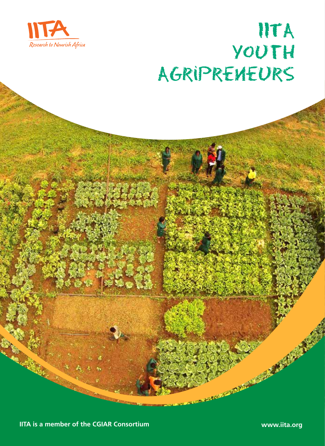

# IITA Youth AgripreneurS

**IITA is a member of the CGIAR Consortium www.iita.org**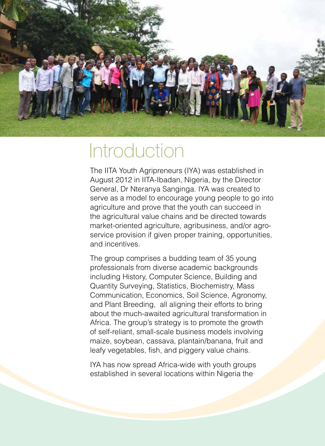

# **Introduction**

The IITA Youth Agripreneurs (IYA) was established in August 2012 in IITA-Ibadan, Nigeria, by the Director General, Dr Nteranya Sanginga. IYA was created to serve as a model to encourage young people to go into agriculture and prove that the youth can succeed in the agricultural value chains and be directed towards market-oriented agriculture, agribusiness, and/or agroservice provision if given proper training, opportunities, and incentives.

The group comprises a budding team of 35 young professionals from diverse academic backgrounds including History, Computer Science, Building and Quantity Surveying, Statistics, Biochemistry, Mass Communication, Economics, Soil Science, Agronomy, and Plant Breeding, all aligning their efforts to bring about the much-awaited agricultural transformation in Africa. The group's strategy is to promote the growth of self-reliant, small-scale business models involving maize, soybean, cassava, plantain/banana, fruit and leafy vegetables, fish, and piggery value chains.

IYA has now spread Africa-wide with youth groups established in several locations within Nigeria the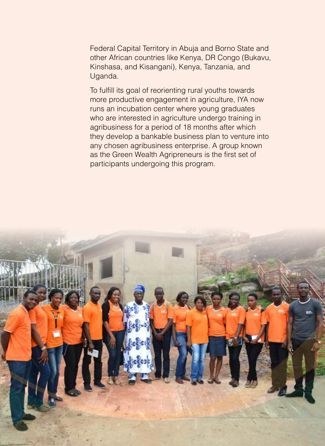Federal Capital Territory in Abuja and Borno State and other African countries like Kenya, DR Congo (Bukavu, Kinshasa, and Kisangani), Kenya, Tanzania, and Uganda.

To fulfill its goal of reorienting rural youths towards more productive engagement in agriculture, IYA now runs an incubation center where young graduates who are interested in agriculture undergo training in agribusiness for a period of 18 months after which they develop a bankable business plan to venture into any chosen agribusiness enterprise. A group known as the Green Wealth Agripreneurs is the first set of participants undergoing this program.

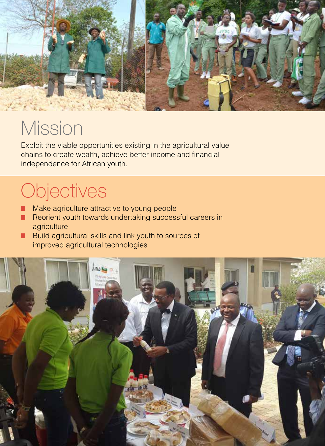

# **Mission**

Exploit the viable opportunities existing in the agricultural value chains to create wealth, achieve better income and financial independence for African youth.

# **Objectives**

- **Make agriculture attractive to young people**
- **Reorient youth towards undertaking successful careers in** agriculture
- **•** Build agricultural skills and link youth to sources of improved agricultural technologies

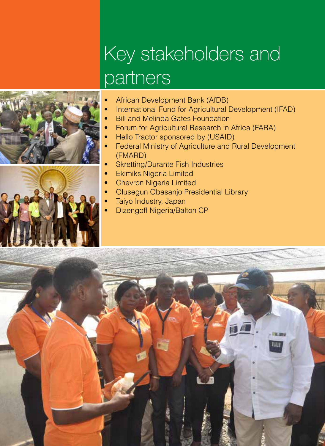# Key stakeholders and partners





- International Fund for Agricultural Development (IFAD)
	- **Bill and Melinda Gates Foundation**
	- Forum for Agricultural Research in Africa (FARA)
	- Hello Tractor sponsored by (USAID)
	- Federal Ministry of Agriculture and Rural Development (FMARD)
	- **Skretting/Durante Fish Industries**
	- **Ekimiks Nigeria Limited**
	- **Chevron Nigeria Limited**
	- **Olusegun Obasanjo Presidential Library**
	- Taiyo Industry, Japan
	- **Dizengoff Nigeria/Balton CP**

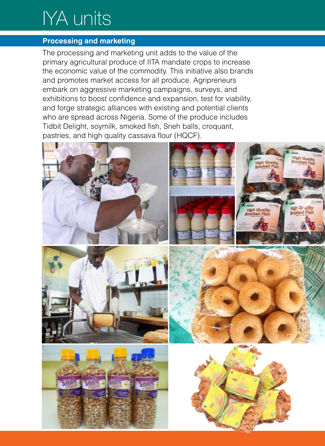# IYA units **•**

### **Processing and marketing**

The processing and marketing unit adds to the value of the primary agricultural produce of IITA mandate crops to increase the economic value of the commodity. This initiative also brands and promotes market access for all produce. Agripreneurs embark on aggressive marketing campaigns, surveys, and exhibitions to boost confidence and expansion, test for viability, and forge strategic alliances with existing and potential clients who are spread across Nigeria. Some of the produce includes Tidbit Delight, soymilk, smoked fish, Sneh balls, croquant, pastries, and high quality cassava flour (HQCF).

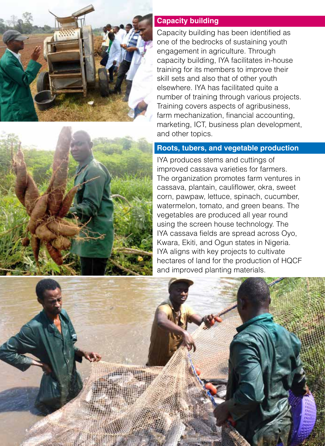



Capacity building has been identified as one of the bedrocks of sustaining youth engagement in agriculture. Through capacity building, IYA facilitates in-house training for its members to improve their skill sets and also that of other youth elsewhere. IYA has facilitated quite a number of training through various projects. Training covers aspects of agribusiness, farm mechanization, financial accounting, marketing, ICT, business plan development, and other topics.

### **Roots, tubers, and vegetable production**

IYA produces stems and cuttings of improved cassava varieties for farmers. The organization promotes farm ventures in cassava, plantain, cauliflower, okra, sweet corn, pawpaw, lettuce, spinach, cucumber, watermelon, tomato, and green beans. The vegetables are produced all year round using the screen house technology. The IYA cassava fields are spread across Oyo, Kwara, Ekiti, and Ogun states in Nigeria. IYA aligns with key projects to cultivate hectares of land for the production of HQCF and improved planting materials.

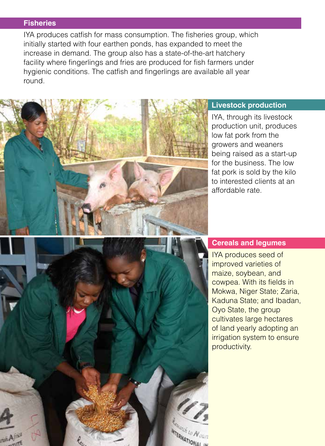#### **Fisheries**

IYA produces catfish for mass consumption. The fisheries group, which initially started with four earthen ponds, has expanded to meet the increase in demand. The group also has a state-of-the-art hatchery facility where fingerlings and fries are produced for fish farmers under hygienic conditions. The catfish and fingerlings are available all year round.



#### **Livestock production**

IYA, through its livestock production unit, produces low fat pork from the growers and weaners being raised as a start-up for the business. The low fat pork is sold by the kilo to interested clients at an affordable rate.



#### **Cereals and legumes**

IYA produces seed of improved varieties of maize, soybean, and cowpea. With its fields in Mokwa, Niger State; Zaria, Kaduna State; and Ibadan, Oyo State, the group cultivates large hectares of land yearly adopting an irrigation system to ensure productivity.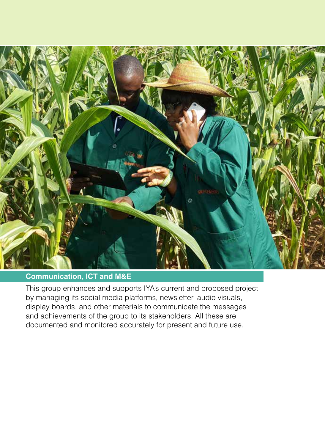

### **Communication, ICT and M&E**

This group enhances and supports IYA's current and proposed project by managing its social media platforms, newsletter, audio visuals, display boards, and other materials to communicate the messages and achievements of the group to its stakeholders. All these are documented and monitored accurately for present and future use.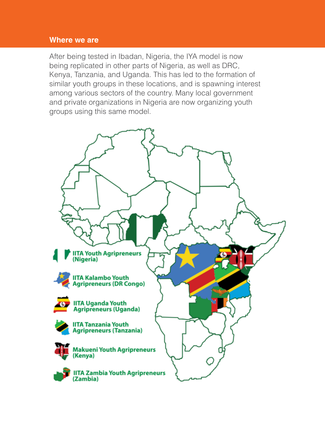#### **Where we are**

After being tested in Ibadan, Nigeria, the IYA model is now being replicated in other parts of Nigeria, as well as DRC, Kenya, Tanzania, and Uganda. This has led to the formation of similar youth groups in these locations, and is spawning interest among various sectors of the country. Many local government and private organizations in Nigeria are now organizing youth groups using this same model.

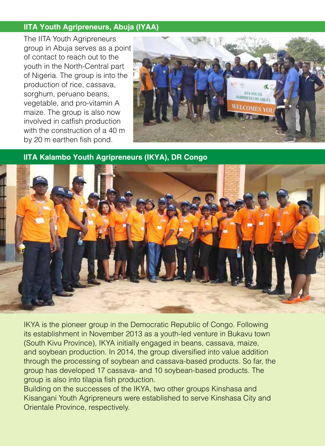### **IITA Youth Agripreneurs, Abuja (IYAA)**

The IITA Youth Agripreneurs group in Abuja serves as a point of contact to reach out to the youth in the North-Central part of Nigeria. The group is into the production of rice, cassava, sorghum, peruano beans, vegetable, and pro-vitamin A maize. The group is also now involved in catfish production with the construction of a 40 m by 20 m earthen fish pond.



**IITA Kalambo Youth Agripreneurs (IKYA), DR Congo**



IKYA is the pioneer group in the Democratic Republic of Congo. Following its establishment in November 2013 as a youth-led venture in Bukavu town (South Kivu Province), IKYA initially engaged in beans, cassava, maize, and soybean production. In 2014, the group diversified into value addition through the processing of soybean and cassava-based products. So far, the group has developed 17 cassava- and 10 soybean-based products. The group is also into tilapia fish production.

Building on the successes of the IKYA, two other groups Kinshasa and Kisangani Youth Agripreneurs―were established to serve Kinshasa City and Orientale Province, respectively.